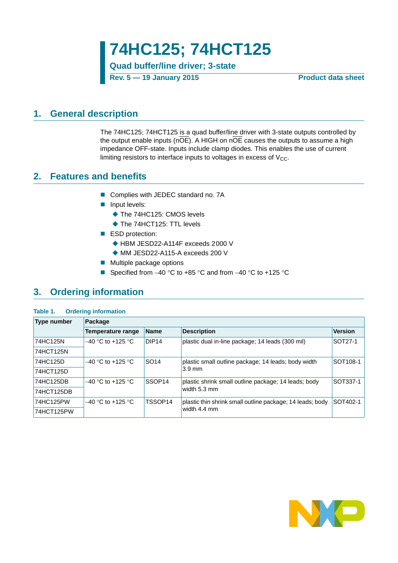**74HC125; 74HCT125**

**Quad buffer/line driver; 3-state**

**Rev. 5 — 19 January 2015 Product data sheet**

## <span id="page-0-0"></span>**1. General description**

The 74HC125; 74HCT125 is a quad buffer/line driver with 3-state outputs controlled by the output enable inputs ( $n\overline{OE}$ ). A HIGH on  $n\overline{OE}$  causes the outputs to assume a high impedance OFF-state. Inputs include clamp diodes. This enables the use of current limiting resistors to interface inputs to voltages in excess of  $V_{CC}$ .

## <span id="page-0-1"></span>**2. Features and benefits**

- Complies with JEDEC standard no. 7A
- **Input levels:** 
	- ◆ The 74HC125: CMOS levels
	- ◆ The 74HCT125: TTL levels
- ESD protection:
	- ◆ HBM JESD22-A114F exceeds 2000 V
	- ◆ MM JESD22-A115-A exceeds 200 V
- $\blacksquare$  Multiple package options
- Specified from  $-40$  °C to  $+85$  °C and from  $-40$  °C to  $+125$  °C

## <span id="page-0-2"></span>**3. Ordering information**

### **Table 1. Ordering information**

| <b>Type number</b> | Package                  |                    |                                                           |                |
|--------------------|--------------------------|--------------------|-----------------------------------------------------------|----------------|
|                    | <b>Temperature range</b> | Name               | <b>Description</b>                                        | <b>Version</b> |
| 74HC125N           | $-40$ °C to +125 °C      | DIP <sub>14</sub>  | plastic dual in-line package; 14 leads (300 mil)          | SOT27-1        |
| 74HCT125N          |                          |                    |                                                           |                |
| 74HC125D           | $-40$ °C to +125 °C      | <b>SO14</b>        | plastic small outline package; 14 leads; body width       | SOT108-1       |
| 74HCT125D          |                          |                    | $3.9 \text{ mm}$                                          |                |
| 74HC125DB          | $-40$ °C to +125 °C      | SSOP <sub>14</sub> | plastic shrink small outline package; 14 leads; body      | SOT337-1       |
| 74HCT125DB         |                          |                    | width 5.3 mm                                              |                |
| 74HC125PW          | $-40$ °C to +125 °C      | TSSOP14            | plastic thin shrink small outline package; 14 leads; body | SOT402-1       |
| 74HCT125PW         |                          |                    | width 4.4 mm                                              |                |

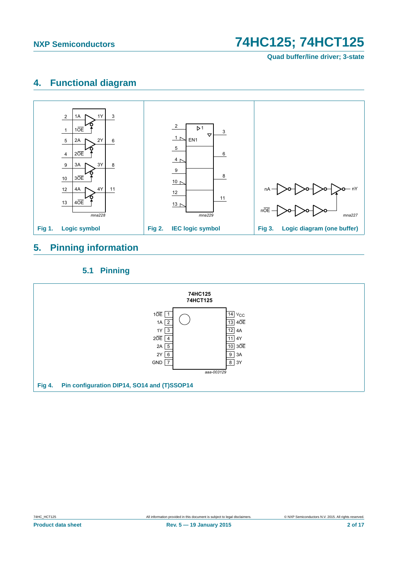**Quad buffer/line driver; 3-state**

# <span id="page-1-0"></span>**4. Functional diagram**



# <span id="page-1-1"></span>**5. Pinning information**

## **5.1 Pinning**

<span id="page-1-2"></span>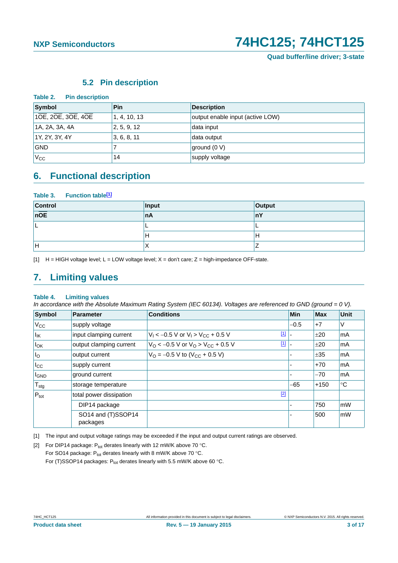### **5.2 Pin description**

<span id="page-2-3"></span>

| Table 2.<br><b>Pin description</b> |              |                                  |
|------------------------------------|--------------|----------------------------------|
| Symbol                             | Pin          | <b>Description</b>               |
| $10E$ , 20E, 30E, 40E              | 1, 4, 10, 13 | output enable input (active LOW) |
| 1A, 2A, 3A, 4A                     | 2, 5, 9, 12  | data input                       |
| 1Y, 2Y, 3Y, 4Y                     | 3, 6, 8, 11  | data output                      |
| <b>GND</b>                         |              | ground (0 V)                     |
| $ V_{CC} $                         | 14           | supply voltage                   |

## <span id="page-2-4"></span>**6. Functional description**

### Table 3. Function table<sup>[1]</sup>

| Control | Input | Output |
|---------|-------|--------|
| nOE     | ∣nA   | nY     |
|         |       |        |
|         | . .   | Ħ      |
| н       | ↗     |        |

<span id="page-2-0"></span>[1]  $H = HIGH$  voltage level; L = LOW voltage level; X = don't care; Z = high-impedance OFF-state.

# <span id="page-2-5"></span>**7. Limiting values**

### **Table 4. Limiting values**

*In accordance with the Absolute Maximum Rating System (IEC 60134). Voltages are referenced to GND (ground = 0 V).*

| Symbol                   | <b>Parameter</b>               | <b>Conditions</b>                                                    | Min    | <b>Max</b> | Unit |
|--------------------------|--------------------------------|----------------------------------------------------------------------|--------|------------|------|
| $V_{\rm CC}$             | supply voltage                 |                                                                      | $-0.5$ | $+7$       | V    |
| $I_{IK}$                 | input clamping current         | $\boxed{1}$<br>$V_1$ < -0.5 V or $V_1$ > $V_{CC}$ + 0.5 V            |        | ±20        | mA   |
| $I_{OK}$                 | output clamping current        | $\boxed{1}$<br>$V_O$ < -0.5 V or $V_O$ > $V_{CC}$ + 0.5 V            |        | ±20        | mA   |
| I <sub>0</sub>           | output current                 | $V_{\text{O}} = -0.5 \text{ V}$ to $(V_{\text{CC}} + 0.5 \text{ V})$ |        | ±35        | mA   |
| $I_{\rm CC}$             | supply current                 |                                                                      |        | $+70$      | mA   |
| <b>I</b> GND             | ground current                 |                                                                      |        | $-70$      | mA   |
| $^\prime$ T $_{\rm stg}$ | storage temperature            |                                                                      | -65    | $+150$     | °C   |
| $P_{\text{tot}}$         | total power dissipation        | $[2]$                                                                |        |            |      |
|                          | DIP14 package                  |                                                                      |        | 750        | mW   |
|                          | SO14 and (T)SSOP14<br>packages |                                                                      |        | 500        | mW   |

<span id="page-2-1"></span>[1] The input and output voltage ratings may be exceeded if the input and output current ratings are observed.

<span id="page-2-2"></span>[2] For DIP14 package:  $P_{tot}$  derates linearly with 12 mW/K above 70 °C. For SO14 package:  $P_{tot}$  derates linearly with 8 mW/K above 70 °C. For (T)SSOP14 packages:  $P_{tot}$  derates linearly with 5.5 mW/K above 60 °C.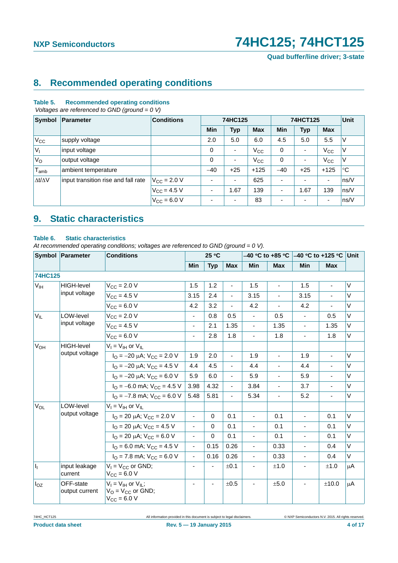**Quad buffer/line driver; 3-state**

# <span id="page-3-0"></span>**8. Recommended operating conditions**

### **Table 5. Recommended operating conditions**

 *Voltages are referenced to GND (ground = 0 V)*

| <b>Symbol</b>       | Parameter                           | <b>Conditions</b>    | 74HC125                  |            | 74HCT125     | <b>Unit</b>              |                          |                          |             |
|---------------------|-------------------------------------|----------------------|--------------------------|------------|--------------|--------------------------|--------------------------|--------------------------|-------------|
|                     |                                     |                      | <b>Min</b>               | <b>Typ</b> | <b>Max</b>   | <b>Min</b>               | <b>Typ</b>               | <b>Max</b>               |             |
| $V_{\rm CC}$        | supply voltage                      |                      | 2.0                      | 5.0        | 6.0          | 4.5                      | 5.0                      | 5.5                      | ٧           |
| $ V_1$              | input voltage                       |                      | 0                        | ٠          | $V_{CC}$     | 0                        | ٠                        | $V_{\rm CC}$             | ν           |
| $V_{\rm O}$         | output voltage                      |                      | $\mathbf 0$              | ٠          | $V_{\rm CC}$ | 0                        | $\overline{\phantom{a}}$ | $V_{\rm CC}$             | V           |
| $T_{amb}$           | ambient temperature                 |                      | $-40$                    | $+25$      | $+125$       | $-40$                    | $+25$                    | $+125$                   | $^{\circ}C$ |
| $\Delta t/\Delta V$ | input transition rise and fall rate | $V_{\rm CC}$ = 2.0 V | $\overline{\phantom{0}}$ | ٠          | 625          | $\overline{\phantom{0}}$ | ٠                        | $\blacksquare$           | ns/V        |
|                     |                                     | $V_{\rm CC} = 4.5 V$ | ٠                        | 1.67       | 139          | $\overline{\phantom{a}}$ | 1.67                     | 139                      | ns/V        |
|                     |                                     | $V_{\rm CC} = 6.0 V$ |                          | ٠          | 83           |                          | $\overline{\phantom{0}}$ | $\overline{\phantom{a}}$ | ns/V        |

# <span id="page-3-1"></span>**9. Static characteristics**

### **Table 6. Static characteristics**

*At recommended operating conditions; voltages are referenced to GND (ground = 0 V).*

|                 | Symbol Parameter            | <b>Conditions</b>                                                                          |                          | 25 °C      |                          |                          |                          |                              |                |         |
|-----------------|-----------------------------|--------------------------------------------------------------------------------------------|--------------------------|------------|--------------------------|--------------------------|--------------------------|------------------------------|----------------|---------|
|                 |                             |                                                                                            | <b>Min</b>               | <b>Typ</b> | <b>Max</b>               | Min                      | <b>Max</b>               | Min                          | <b>Max</b>     |         |
| <b>74HC125</b>  |                             |                                                                                            |                          |            |                          |                          |                          |                              |                |         |
| $V_{IH}$        | HIGH-level                  | $V_{CC} = 2.0 V$                                                                           | 1.5                      | 1.2        | $\blacksquare$           | 1.5                      | ä,                       | 1.5                          | $\blacksquare$ | V       |
|                 | input voltage               | $V_{CC} = 4.5 V$                                                                           | 3.15                     | 2.4        | $\blacksquare$           | 3.15                     | $\overline{a}$           | 3.15                         |                | $\vee$  |
|                 |                             | $V_{CC} = 6.0 V$                                                                           | 4.2                      | 3.2        | $\blacksquare$           | 4.2                      | $\overline{a}$           | 4.2                          |                | V       |
| $V_{IL}$        | LOW-level                   | $V_{\text{CC}} = 2.0 V$                                                                    | $\blacksquare$           | 0.8        | 0.5                      |                          | 0.5                      | ä,                           | 0.5            | $\vee$  |
|                 | input voltage               | $V_{CC} = 4.5 V$                                                                           | $\blacksquare$           | 2.1        | 1.35                     | $\blacksquare$           | 1.35                     | $\blacksquare$               | 1.35           | V       |
|                 |                             | $V_{CC} = 6.0 V$                                                                           | ÷,                       | 2.8        | 1.8                      | $\overline{\phantom{a}}$ | 1.8                      | ä,                           | 1.8            | V       |
| V <sub>OH</sub> | <b>HIGH-level</b>           | $V_I = V_{IH}$ or $V_{II}$                                                                 |                          |            |                          |                          |                          |                              |                |         |
|                 | output voltage              | $I_{\text{O}} = -20 \mu\text{A}$ ; $V_{\text{CC}} = 2.0 \text{ V}$                         | 1.9                      | 2.0        | $\blacksquare$           | 1.9                      | $\blacksquare$           | 1.9                          | $\blacksquare$ | $\vee$  |
|                 |                             | $I_{\rm O} = -20 \mu A$ ; $V_{\rm CC} = 4.5 V$                                             | 4.4                      | 4.5        | $\blacksquare$           | 4.4                      | $\blacksquare$           | 4.4                          | $\blacksquare$ | $\vee$  |
|                 |                             | $I_{\Omega} = -20 \mu A$ ; $V_{CC} = 6.0 V$                                                | 5.9                      | 6.0        | $\overline{\phantom{a}}$ | 5.9                      | $\overline{\phantom{0}}$ | 5.9                          | $\blacksquare$ | $\vee$  |
|                 |                             | $I_{\text{O}} = -6.0 \text{ mA}$ ; $V_{\text{CC}} = 4.5 \text{ V}$                         | 3.98                     | 4.32       | $\overline{\phantom{a}}$ | 3.84                     | $\blacksquare$           | 3.7                          | $\blacksquare$ | $\vee$  |
|                 |                             | $I_{\text{O}} = -7.8 \text{ mA}$ ; $V_{\text{CC}} = 6.0 \text{ V}$                         | 5.48                     | 5.81       | $\blacksquare$           | 5.34                     | $\frac{1}{2}$            | 5.2                          | ÷,             | $\vee$  |
| $V_{OL}$        | LOW-level                   | $V_I = V_{IH}$ or $V_{IL}$                                                                 |                          |            |                          |                          |                          |                              |                |         |
|                 | output voltage              | $I_{\text{O}}$ = 20 µA; $V_{\text{CC}}$ = 2.0 V                                            | ÷,                       | $\Omega$   | 0.1                      | $\blacksquare$           | 0.1                      | $\blacksquare$               | 0.1            | $\vee$  |
|                 |                             | $I_{\text{O}}$ = 20 µA; $V_{\text{CC}}$ = 4.5 V                                            | $\overline{\phantom{a}}$ | $\Omega$   | 0.1                      |                          | 0.1                      | $\qquad \qquad \blacksquare$ | 0.1            | $\vee$  |
|                 |                             | $I_{\text{O}}$ = 20 $\mu$ A; V <sub>CC</sub> = 6.0 V                                       | $\blacksquare$           | $\Omega$   | 0.1                      |                          | 0.1                      | $\blacksquare$               | 0.1            | $\vee$  |
|                 |                             | $IO$ = 6.0 mA; $VCC$ = 4.5 V                                                               | $\blacksquare$           | 0.15       | 0.26                     | $\overline{\phantom{a}}$ | 0.33                     | $\blacksquare$               | 0.4            | $\vee$  |
|                 |                             | $IO$ = 7.8 mA; $VCC$ = 6.0 V                                                               | $\blacksquare$           | 0.16       | 0.26                     | $\overline{\phantom{a}}$ | 0.33                     | $\blacksquare$               | 0.4            | $\vee$  |
| h.              | input leakage<br>current    | $V_1 = V_{CC}$ or GND;<br>$V_{\text{CC}} = 6.0 V$                                          | $\overline{\phantom{0}}$ |            | ±0.1                     |                          | ±1.0                     |                              | ±1.0           | $\mu$ A |
| $I_{OZ}$        | OFF-state<br>output current | $V_I = V_{IH}$ or $V_{IL}$ ;<br>$V_{\text{O}} = V_{\text{CC}}$ or GND;<br>$V_{CC} = 6.0 V$ | $\overline{\phantom{a}}$ |            | ±0.5                     |                          | ±5.0                     | $\blacksquare$               | ±10.0          | μA      |

74HC\_HCT125 All information provided in this document is subject to legal disclaimers. © NXP Semiconductors N.V. 2015. All rights reserved.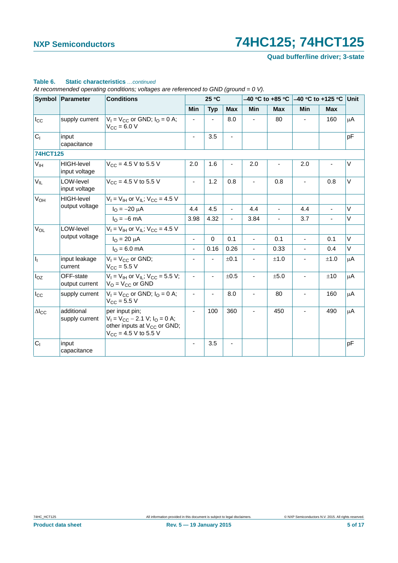**Quad buffer/line driver; 3-state**

|                                                              | Symbol Parameter                              | <b>Conditions</b>                                                                                                                |                          | 25 °C                        |                          |                          | $-40$ °C to +85 °C | $-40$ °C to +125 °C      |                | <b>Unit</b> |
|--------------------------------------------------------------|-----------------------------------------------|----------------------------------------------------------------------------------------------------------------------------------|--------------------------|------------------------------|--------------------------|--------------------------|--------------------|--------------------------|----------------|-------------|
|                                                              |                                               |                                                                                                                                  | Min                      | <b>Typ</b>                   | <b>Max</b>               | <b>Min</b>               | <b>Max</b>         | Min                      | <b>Max</b>     |             |
| $I_{\rm CC}$                                                 | supply current                                | $V_1 = V_{CC}$ or GND; $I_Q = 0$ A;<br>$V_{CC} = 6.0 V$                                                                          | $\overline{\phantom{a}}$ |                              | 8.0                      |                          | 80                 | $\overline{\phantom{a}}$ | 160            | μA          |
| C <sub>1</sub>                                               | input<br>capacitance                          |                                                                                                                                  | $\blacksquare$           | 3.5                          | $\overline{\phantom{a}}$ |                          |                    |                          |                | pF          |
| <b>74HCT125</b>                                              |                                               |                                                                                                                                  |                          |                              |                          |                          |                    |                          |                |             |
| V <sub>IH</sub>                                              | HIGH-level<br>input voltage                   | $V_{\text{CC}} = 4.5 \text{ V}$ to 5.5 V                                                                                         | 2.0                      | 1.6                          |                          | 2.0                      |                    | 2.0                      |                | $\vee$      |
| $V_{IL}$                                                     | LOW-level<br>input voltage                    | $V_{CC}$ = 4.5 V to 5.5 V                                                                                                        | $\blacksquare$           | 1.2                          | 0.8                      |                          | 0.8                | $\sim$                   | 0.8            | V           |
| <b>V<sub>OH</sub></b><br><b>HIGH-level</b><br>output voltage | $V_1 = V_{1H}$ or $V_{1I}$ ; $V_{CC} = 4.5$ V |                                                                                                                                  |                          |                              |                          |                          |                    |                          |                |             |
|                                                              |                                               | $I_{\Omega} = -20 \mu A$                                                                                                         | 4.4                      | 4.5                          | $\blacksquare$           | 4.4                      | $\blacksquare$     | 4.4                      | $\blacksquare$ | V           |
|                                                              |                                               | $I_{\Omega} = -6$ mA                                                                                                             | 3.98                     | 4.32                         | $\overline{\phantom{a}}$ | 3.84                     | $\blacksquare$     | 3.7                      | $\blacksquare$ | V           |
| <b>V<sub>OL</sub></b>                                        | LOW-level                                     | $V_1 = V_{1H}$ or $V_{1L}$ ; $V_{CC} = 4.5$ V                                                                                    |                          |                              |                          |                          |                    |                          |                |             |
|                                                              | output voltage                                | $I_{\rm O} = 20 \mu A$                                                                                                           | $\overline{\phantom{a}}$ | $\mathbf 0$                  | 0.1                      | $\blacksquare$           | 0.1                | $\blacksquare$           | 0.1            | $\vee$      |
|                                                              |                                               | $I_{\Omega} = 6.0$ mA                                                                                                            | ä,                       | 0.16                         | 0.26                     | $\blacksquare$           | 0.33               | $\mathbf{r}$             | 0.4            | V           |
| I <sub>I</sub>                                               | input leakage<br>current                      | $V_1 = V_{CC}$ or GND;<br>$V_{CC} = 5.5 V$                                                                                       | $\overline{\phantom{a}}$ | $\overline{\phantom{0}}$     | ±0.1                     | $\blacksquare$           | ±1.0               | $\overline{\phantom{a}}$ | ±1.0           | μA          |
| $I_{OZ}$                                                     | OFF-state<br>output current                   | $V_I = V_{IH}$ or $V_{IL}$ ; $V_{CC} = 5.5$ V;<br>$V_O = V_{CC}$ or GND                                                          | $\blacksquare$           | $\qquad \qquad \blacksquare$ | ±0.5                     | $\overline{\phantom{a}}$ | ±5.0               | $\overline{\phantom{a}}$ | ±10            | μA          |
| $I_{\rm CC}$                                                 | supply current                                | $V_1 = V_{CC}$ or GND; $I_Q = 0$ A;<br>$V_{CC} = 5.5 V$                                                                          | $\blacksquare$           | ä,                           | 8.0                      | $\overline{\phantom{a}}$ | 80                 | $\overline{\phantom{a}}$ | 160            | $\mu$ A     |
| $\Delta\mathsf{l_{CC}}$                                      | additional<br>supply current                  | per input pin:<br>$V_1 = V_{CC} - 2.1 V$ ; $I_Q = 0 A$ ;<br>other inputs at V <sub>CC</sub> or GND;<br>$V_{CC}$ = 4.5 V to 5.5 V | $\blacksquare$           | 100                          | 360                      |                          | 450                |                          | 490            | μA          |
| C <sub>1</sub>                                               | input<br>capacitance                          |                                                                                                                                  |                          | 3.5                          |                          |                          |                    |                          |                | pF          |

### **Table 6. Static characteristics** *…continued*

*At recommended operating conditions; voltages are referenced to GND (ground = 0 V).*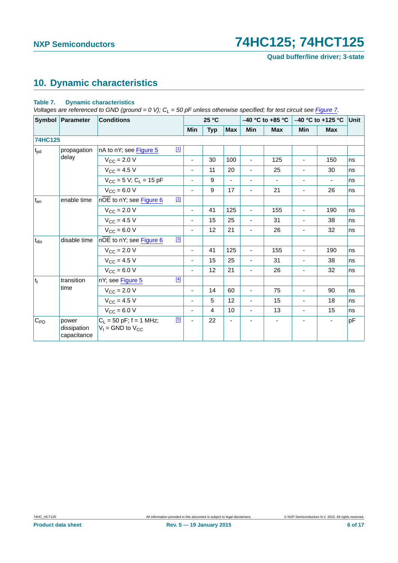**Quad buffer/line driver; 3-state**

# <span id="page-5-1"></span>**10. Dynamic characteristics**

### <span id="page-5-0"></span>**Table 7. Dynamic characteristics**

*Voltages are referenced to GND (ground = 0 V); C<sub>L</sub> = 50 pF unless otherwise specified; for test circuit see [Figure 7.](#page-8-0)* 

|                 | Symbol Parameter                    | <b>Conditions</b>                                           |                              | 25 °C      |            |                          | $-40$ °C to +85 °C       | $-40$ °C to +125 °C          |                | Unit |
|-----------------|-------------------------------------|-------------------------------------------------------------|------------------------------|------------|------------|--------------------------|--------------------------|------------------------------|----------------|------|
|                 |                                     |                                                             | <b>Min</b>                   | <b>Typ</b> | <b>Max</b> | <b>Min</b>               | <b>Max</b>               | <b>Min</b>                   | <b>Max</b>     |      |
| <b>74HC125</b>  |                                     |                                                             |                              |            |            |                          |                          |                              |                |      |
| t <sub>pd</sub> | propagation                         | $\boxed{1}$<br>nA to nY; see Figure 5                       |                              |            |            |                          |                          |                              |                |      |
|                 | delay                               | $V_{\text{CC}} = 2.0 V$                                     | $\overline{\phantom{0}}$     | 30         | 100        | $\overline{\phantom{a}}$ | 125                      | $\qquad \qquad \blacksquare$ | 150            | ns   |
|                 |                                     | $V_{\rm CC} = 4.5 V$                                        | $\overline{\phantom{0}}$     | 11         | 20         | $\blacksquare$           | 25                       | $\overline{\phantom{a}}$     | 30             | ns   |
|                 |                                     | $V_{CC}$ = 5 V; C <sub>L</sub> = 15 pF                      | $\frac{1}{2}$                | 9          |            |                          | $\overline{\phantom{a}}$ | $\overline{\phantom{a}}$     | $\blacksquare$ | ns   |
|                 |                                     | $V_{\text{CC}} = 6.0 V$                                     | $\overline{\phantom{a}}$     | 9          | 17         |                          | 21                       | $\overline{\phantom{m}}$     | 26             | ns   |
| $t_{en}$        | enable time                         | $[2]$<br>nOE to nY; see Figure 6                            |                              |            |            |                          |                          |                              |                |      |
|                 |                                     | $V_{\text{CC}} = 2.0 V$                                     | L.                           | 41         | 125        | $\blacksquare$           | 155                      | $\overline{a}$               | 190            | ns   |
|                 |                                     | $V_{\rm CC} = 4.5 V$                                        | $\qquad \qquad \blacksquare$ | 15         | 25         | $\blacksquare$           | 31                       | $\overline{\phantom{a}}$     | 38             | ns   |
|                 |                                     | $V_{CC}$ = 6.0 V                                            | ۰.                           | 12         | 21         | $\overline{\phantom{a}}$ | 26                       | $\overline{\phantom{a}}$     | 32             | ns   |
| $t_{dis}$       | disable time                        | $[3]$<br>nOE to nY; see Figure 6                            |                              |            |            |                          |                          |                              |                |      |
|                 |                                     | $V_{\text{CC}} = 2.0 V$                                     | -                            | 41         | 125        | ÷,                       | 155                      | $\overline{\phantom{a}}$     | 190            | ns   |
|                 |                                     | $V_{\rm CC} = 4.5 V$                                        | $\overline{\phantom{0}}$     | 15         | 25         | $\overline{\phantom{a}}$ | 31                       | $\overline{\phantom{a}}$     | 38             | ns   |
|                 |                                     | $V_{CC} = 6.0 V$                                            | ÷,                           | 12         | 21         | $\blacksquare$           | 26                       | $\blacksquare$               | 32             | ns   |
| $ t_t $         | transition                          | $[4]$<br>nY; see Figure 5                                   |                              |            |            |                          |                          |                              |                |      |
|                 | time                                | $V_{\text{CC}} = 2.0 V$                                     | $\overline{\phantom{0}}$     | 14         | 60         | $\blacksquare$           | 75                       | $\blacksquare$               | 90             | ns   |
|                 |                                     | $V_{CC} = 4.5 V$                                            | $\frac{1}{2}$                | 5          | 12         | $\blacksquare$           | 15                       | $\blacksquare$               | 18             | ns   |
|                 |                                     | $V_{CC} = 6.0 V$                                            | $\overline{\phantom{0}}$     | 4          | 10         | $\blacksquare$           | 13                       | $\blacksquare$               | 15             | ns   |
| $C_{PD}$        | power<br>dissipation<br>capacitance | [5]<br>$C_L = 50$ pF; f = 1 MHz;<br>$V_1$ = GND to $V_{CC}$ | ä,                           | 22         |            |                          |                          |                              | $\blacksquare$ | pF   |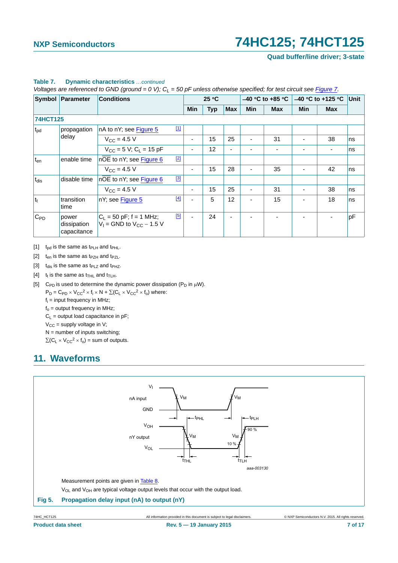**Quad buffer/line driver; 3-state**

|                 | Symbol Parameter                    | <b>Conditions</b>                                            |       |                          | 25 °C      |            |            | $-40$ °C to +85 °C | $-40$ °C to +125 °C |            | Unit |
|-----------------|-------------------------------------|--------------------------------------------------------------|-------|--------------------------|------------|------------|------------|--------------------|---------------------|------------|------|
|                 |                                     |                                                              |       | <b>Min</b>               | <b>Typ</b> | <b>Max</b> | <b>Min</b> | <b>Max</b>         | <b>Min</b>          | <b>Max</b> |      |
| <b>74HCT125</b> |                                     |                                                              |       |                          |            |            |            |                    |                     |            |      |
| t <sub>pd</sub> | propagation                         | nA to nY; see Figure 5                                       | $[1]$ |                          |            |            |            |                    |                     |            |      |
| delay           | $V_{CC} = 4.5 V$                    |                                                              | ۰     | 15                       | 25         | ٠          | 31         |                    | 38                  | ns         |      |
|                 |                                     | $V_{CC}$ = 5 V; C <sub>L</sub> = 15 pF                       |       | ٠                        | 12         |            |            |                    |                     | ٠          | ns   |
| $t_{en}$        | enable time                         | nOE to nY; see Figure 6                                      | $[2]$ |                          |            |            |            |                    |                     |            |      |
|                 |                                     | $V_{\rm CC} = 4.5 V$                                         |       |                          | 15         | 28         |            | 35                 |                     | 42         | ns   |
| $t_{dis}$       | disable time                        | $n\overline{OE}$ to nY; see Figure 6                         | $[3]$ |                          |            |            |            |                    |                     |            |      |
|                 |                                     | $V_{CC} = 4.5 V$                                             |       | ٠                        | 15         | 25         | ٠          | 31                 |                     | 38         | ns   |
| $ t_t $         | transition<br>time                  | nY; see Figure 5                                             | $[4]$ | ٠                        | 5          | 12         |            | 15                 |                     | 18         | ns   |
| $C_{PD}$        | power<br>dissipation<br>capacitance | $C_L$ = 50 pF; f = 1 MHz;<br>$V_1$ = GND to $V_{CC}$ – 1.5 V | [5]   | $\overline{\phantom{0}}$ | 24         |            |            |                    |                     |            | pF   |

### **Table 7. Dynamic characteristics** *…continued*

*Voltages are referenced to GND (ground = 0 V); C<sub>L</sub> = 50 pF unless otherwise specified; for test circuit see Figure 7.* 

<span id="page-6-1"></span>[1]  $t_{pd}$  is the same as  $t_{PLH}$  and  $t_{PHL}$ .

- <span id="page-6-2"></span>[2]  $t_{en}$  is the same as  $t_{PZH}$  and  $t_{PZL}$ .
- <span id="page-6-3"></span>[3]  $t_{dis}$  is the same as  $t_{PLZ}$  and  $t_{PHZ}$ .
- <span id="page-6-4"></span>[4]  $t_t$  is the same as  $t_{THL}$  and  $t_{TLH}$ .
- <span id="page-6-5"></span>[5] C<sub>PD</sub> is used to determine the dynamic power dissipation (P<sub>D</sub> in  $\mu$ W).
	- $P_D = C_{PD} \times V_{CC}^2 \times f_i \times N + \Sigma (C_L \times V_{CC}^2 \times f_o)$  where:
		- fi = input frequency in MHz;
		- $f<sub>o</sub>$  = output frequency in MHz;
		- $C_L$  = output load capacitance in pF;
		- $V_{CC}$  = supply voltage in V;
		- $N =$  number of inputs switching;

 $\Sigma(C_L \times V_{CC}^2 \times f_0)$  = sum of outputs.

# <span id="page-6-6"></span>**11. Waveforms**



<span id="page-6-0"></span>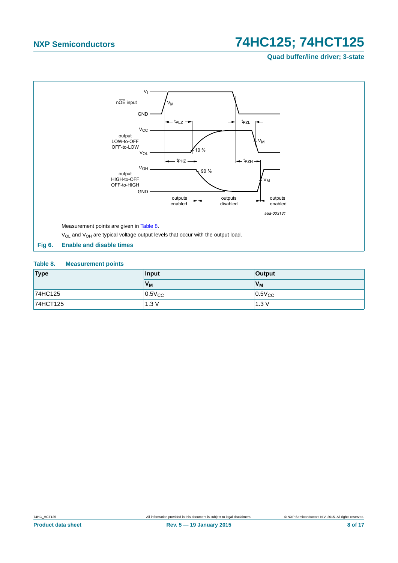**Quad buffer/line driver; 3-state**



### <span id="page-7-1"></span><span id="page-7-0"></span>**Table 8. Measurement points**

| Type     | Input       | <b>Output</b> |  |  |
|----------|-------------|---------------|--|--|
|          | $V_M$       | $V_{M}$       |  |  |
| 74HC125  | $0.5V_{CC}$ | $0.5V_{CC}$   |  |  |
| 74HCT125 | 1.3V        | 1.3V          |  |  |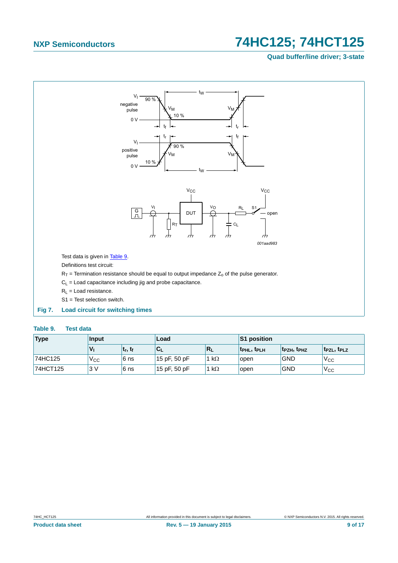### **Quad buffer/line driver; 3-state**



### <span id="page-8-1"></span><span id="page-8-0"></span>**Table 9. Test data**

| Type     | Input        |            | Load            |              | <b>S1 position</b>                  |                                     |                       |  |
|----------|--------------|------------|-----------------|--------------|-------------------------------------|-------------------------------------|-----------------------|--|
|          |              | $t_r, t_f$ | 'C <sub>L</sub> | $R_L$        | t <sub>PHL</sub> , t <sub>PLH</sub> | t <sub>PZH</sub> , t <sub>PHZ</sub> | $t_{PZL}$ , $t_{PLZ}$ |  |
| 74HC125  | $V_{\rm CC}$ | 6 ns       | 15 pF, 50 pF    | 1 k $\Omega$ | open                                | <b>GND</b>                          | $V_{\rm CC}$          |  |
| 74HCT125 | 3V           | 6 ns       | 15 pF, 50 pF    | $k\Omega$    | open                                | <b>GND</b>                          | 'V <sub>CC</sub>      |  |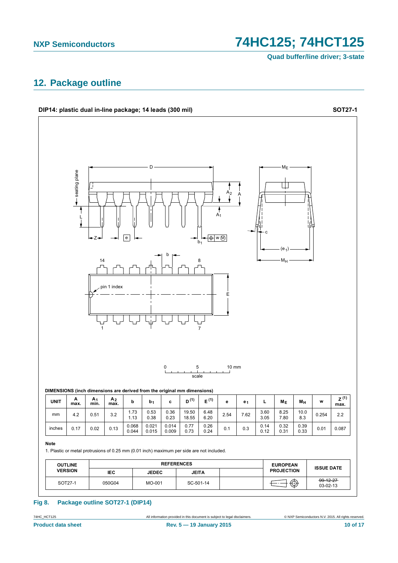**Quad buffer/line driver; 3-state**

## <span id="page-9-0"></span>**12. Package outline**



### **Fig 8. Package outline SOT27-1 (DIP14)**

74HC\_HCT125 All information provided in this document is subject to legal disclaimers. © NXP Semiconductors N.V. 2015. All rights reserved.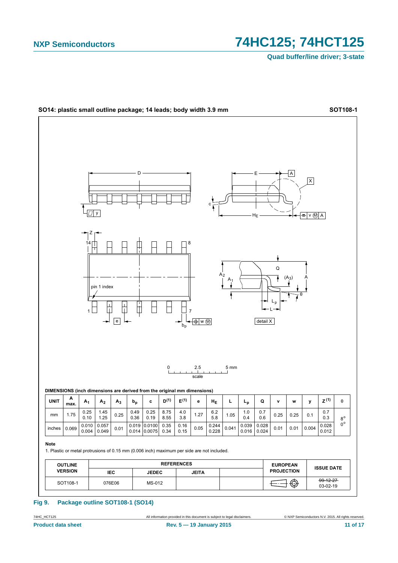# 74HC125; 74HCT125

**Quad buffer/line driver; 3-state** 



**Fig 9.** Package outline SOT108-1 (SO14)

All information provided in this document is subject to legal disclaimers.

74HC\_HCT125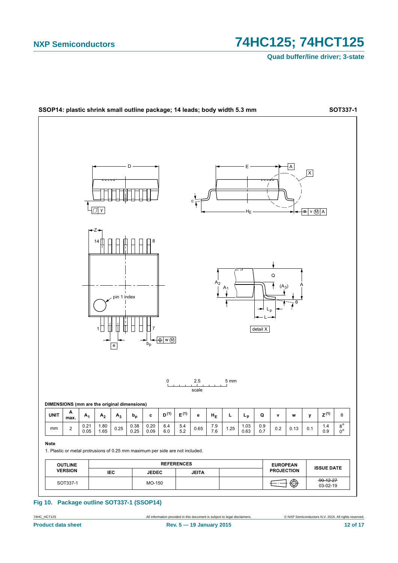Quad buffer/line driver; 3-state



Fig 10. Package outline SOT337-1 (SSOP14)

74HC\_HCT125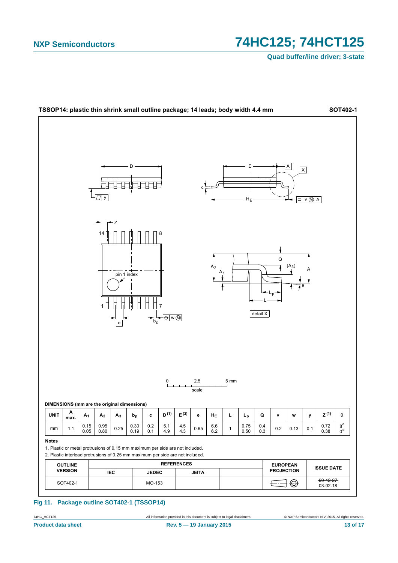# 74HC125; 74HCT125

**Quad buffer/line driver; 3-state** 



Fig 11. Package outline SOT402-1 (TSSOP14)

74HC\_HCT125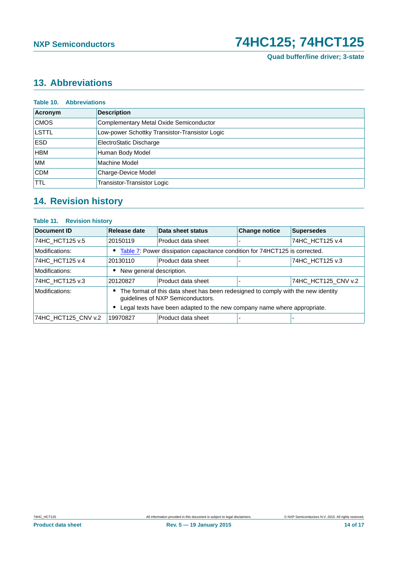**Quad buffer/line driver; 3-state**

# <span id="page-13-0"></span>**13. Abbreviations**

| <b>Table 10. Abbreviations</b> |                                                |  |  |  |  |  |  |
|--------------------------------|------------------------------------------------|--|--|--|--|--|--|
| Acronym                        | <b>Description</b>                             |  |  |  |  |  |  |
| <b>CMOS</b>                    | Complementary Metal Oxide Semiconductor        |  |  |  |  |  |  |
| LSTTL                          | Low-power Schottky Transistor-Transistor Logic |  |  |  |  |  |  |
| <b>ESD</b>                     | ElectroStatic Discharge                        |  |  |  |  |  |  |
| <b>HBM</b>                     | Human Body Model                               |  |  |  |  |  |  |
| <b>MM</b>                      | Machine Model                                  |  |  |  |  |  |  |
| <b>CDM</b>                     | Charge-Device Model                            |  |  |  |  |  |  |
| <b>TTL</b>                     | Transistor-Transistor Logic                    |  |  |  |  |  |  |

# <span id="page-13-1"></span>**14. Revision history**

### **Table 11. Revision history**

| Document ID         | Release date                                                                                                                | Data sheet status  | <b>Change notice</b> | <b>Supersedes</b>   |
|---------------------|-----------------------------------------------------------------------------------------------------------------------------|--------------------|----------------------|---------------------|
| 74HC HCT125 v.5     | 20150119                                                                                                                    | Product data sheet |                      | 74HC HCT125 v.4     |
| Modifications:      | Table 7: Power dissipation capacitance condition for 74HCT125 is corrected.                                                 |                    |                      |                     |
| 74HC HCT125 v.4     | 20130110                                                                                                                    | Product data sheet |                      | 74HC HCT125 v.3     |
| Modifications:      | New general description.                                                                                                    |                    |                      |                     |
| 74HC HCT125 v.3     | 20120827                                                                                                                    | Product data sheet |                      | 74HC_HCT125_CNV v.2 |
| Modifications:      | The format of this data sheet has been redesigned to comply with the new identity<br>٠<br>guidelines of NXP Semiconductors. |                    |                      |                     |
|                     | Legal texts have been adapted to the new company name where appropriate.                                                    |                    |                      |                     |
| 74HC_HCT125_CNV v.2 | 19970827                                                                                                                    | Product data sheet |                      |                     |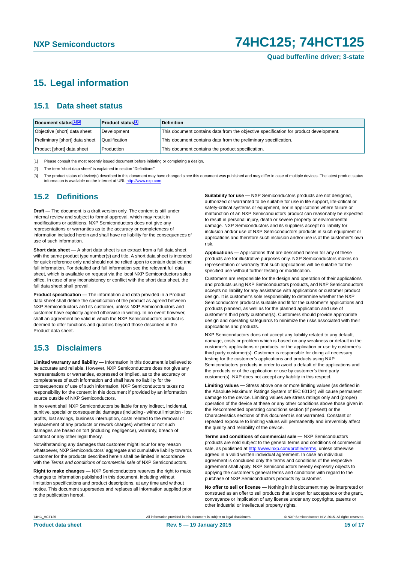## <span id="page-14-3"></span>**15. Legal information**

### <span id="page-14-4"></span>**15.1 Data sheet status**

| Document status[1][2]          | <b>Product status</b> <sup>[3]</sup> | <b>Definition</b>                                                                     |
|--------------------------------|--------------------------------------|---------------------------------------------------------------------------------------|
| Objective [short] data sheet   | Development                          | This document contains data from the objective specification for product development. |
| Preliminary [short] data sheet | Qualification                        | This document contains data from the preliminary specification.                       |
| Product [short] data sheet     | Production                           | This document contains the product specification.                                     |

<span id="page-14-0"></span>[1] Please consult the most recently issued document before initiating or completing a design.

<span id="page-14-1"></span>[2] The term 'short data sheet' is explained in section "Definitions".

<span id="page-14-2"></span>[3] The product status of device(s) described in this document may have changed since this document was published and may differ in case of multiple devices. The latest product status<br>information is available on the Intern

### <span id="page-14-5"></span>**15.2 Definitions**

**Draft —** The document is a draft version only. The content is still under internal review and subject to formal approval, which may result in modifications or additions. NXP Semiconductors does not give any representations or warranties as to the accuracy or completeness of information included herein and shall have no liability for the consequences of use of such information.

**Short data sheet —** A short data sheet is an extract from a full data sheet with the same product type number(s) and title. A short data sheet is intended for quick reference only and should not be relied upon to contain detailed and full information. For detailed and full information see the relevant full data sheet, which is available on request via the local NXP Semiconductors sales office. In case of any inconsistency or conflict with the short data sheet, the full data sheet shall prevail.

**Product specification —** The information and data provided in a Product data sheet shall define the specification of the product as agreed between NXP Semiconductors and its customer, unless NXP Semiconductors and customer have explicitly agreed otherwise in writing. In no event however, shall an agreement be valid in which the NXP Semiconductors product is deemed to offer functions and qualities beyond those described in the Product data sheet.

### <span id="page-14-6"></span>**15.3 Disclaimers**

**Limited warranty and liability —** Information in this document is believed to be accurate and reliable. However, NXP Semiconductors does not give any representations or warranties, expressed or implied, as to the accuracy or completeness of such information and shall have no liability for the consequences of use of such information. NXP Semiconductors takes no responsibility for the content in this document if provided by an information source outside of NXP Semiconductors.

In no event shall NXP Semiconductors be liable for any indirect, incidental, punitive, special or consequential damages (including - without limitation - lost profits, lost savings, business interruption, costs related to the removal or replacement of any products or rework charges) whether or not such damages are based on tort (including negligence), warranty, breach of contract or any other legal theory.

Notwithstanding any damages that customer might incur for any reason whatsoever, NXP Semiconductors' aggregate and cumulative liability towards customer for the products described herein shall be limited in accordance with the *Terms and conditions of commercial sale* of NXP Semiconductors.

**Right to make changes —** NXP Semiconductors reserves the right to make changes to information published in this document, including without limitation specifications and product descriptions, at any time and without notice. This document supersedes and replaces all information supplied prior to the publication hereof.

**Suitability for use —** NXP Semiconductors products are not designed, authorized or warranted to be suitable for use in life support, life-critical or safety-critical systems or equipment, nor in applications where failure or malfunction of an NXP Semiconductors product can reasonably be expected to result in personal injury, death or severe property or environmental damage. NXP Semiconductors and its suppliers accept no liability for inclusion and/or use of NXP Semiconductors products in such equipment or applications and therefore such inclusion and/or use is at the customer's own risk.

**Applications —** Applications that are described herein for any of these products are for illustrative purposes only. NXP Semiconductors makes no representation or warranty that such applications will be suitable for the specified use without further testing or modification.

Customers are responsible for the design and operation of their applications and products using NXP Semiconductors products, and NXP Semiconductors accepts no liability for any assistance with applications or customer product design. It is customer's sole responsibility to determine whether the NXP Semiconductors product is suitable and fit for the customer's applications and products planned, as well as for the planned application and use of customer's third party customer(s). Customers should provide appropriate design and operating safeguards to minimize the risks associated with their applications and products.

NXP Semiconductors does not accept any liability related to any default, damage, costs or problem which is based on any weakness or default in the customer's applications or products, or the application or use by customer's third party customer(s). Customer is responsible for doing all necessary testing for the customer's applications and products using NXP Semiconductors products in order to avoid a default of the applications and the products or of the application or use by customer's third party customer(s). NXP does not accept any liability in this respect.

**Limiting values —** Stress above one or more limiting values (as defined in the Absolute Maximum Ratings System of IEC 60134) will cause permanent damage to the device. Limiting values are stress ratings only and (proper) operation of the device at these or any other conditions above those given in the Recommended operating conditions section (if present) or the Characteristics sections of this document is not warranted. Constant or repeated exposure to limiting values will permanently and irreversibly affect the quality and reliability of the device.

**Terms and conditions of commercial sale —** NXP Semiconductors products are sold subject to the general terms and conditions of commercial sale, as published at<http://www.nxp.com/profile/terms>, unless otherwise agreed in a valid written individual agreement. In case an individual agreement is concluded only the terms and conditions of the respective agreement shall apply. NXP Semiconductors hereby expressly objects to applying the customer's general terms and conditions with regard to the purchase of NXP Semiconductors products by customer.

**No offer to sell or license —** Nothing in this document may be interpreted or construed as an offer to sell products that is open for acceptance or the grant, conveyance or implication of any license under any copyrights, patents or other industrial or intellectual property rights.

74HC\_HCT125 All information provided in this document is subject to legal disclaimers. © NXP Semiconductors N.V. 2015. All rights reserved.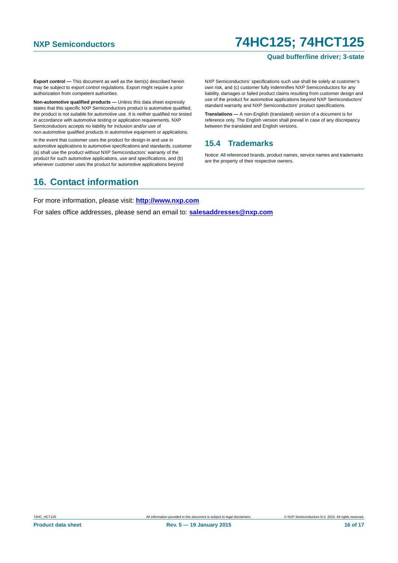### **Quad buffer/line driver; 3-state**

**Export control —** This document as well as the item(s) described herein may be subject to export control regulations. Export might require a prior authorization from competent authorities.

**Non-automotive qualified products —** Unless this data sheet expressly states that this specific NXP Semiconductors product is automotive qualified, the product is not suitable for automotive use. It is neither qualified nor tested in accordance with automotive testing or application requirements. NXP Semiconductors accepts no liability for inclusion and/or use of non-automotive qualified products in automotive equipment or applications.

In the event that customer uses the product for design-in and use in automotive applications to automotive specifications and standards, customer (a) shall use the product without NXP Semiconductors' warranty of the product for such automotive applications, use and specifications, and (b) whenever customer uses the product for automotive applications beyond

NXP Semiconductors' specifications such use shall be solely at customer's own risk, and (c) customer fully indemnifies NXP Semiconductors for any liability, damages or failed product claims resulting from customer design and use of the product for automotive applications beyond NXP Semiconductors' standard warranty and NXP Semiconductors' product specifications.

**Translations —** A non-English (translated) version of a document is for reference only. The English version shall prevail in case of any discrepancy between the translated and English versions.

### <span id="page-15-0"></span>**15.4 Trademarks**

Notice: All referenced brands, product names, service names and trademarks are the property of their respective owners.

## <span id="page-15-1"></span>**16. Contact information**

For more information, please visit: **http://www.nxp.com**

For sales office addresses, please send an email to: **salesaddresses@nxp.com**